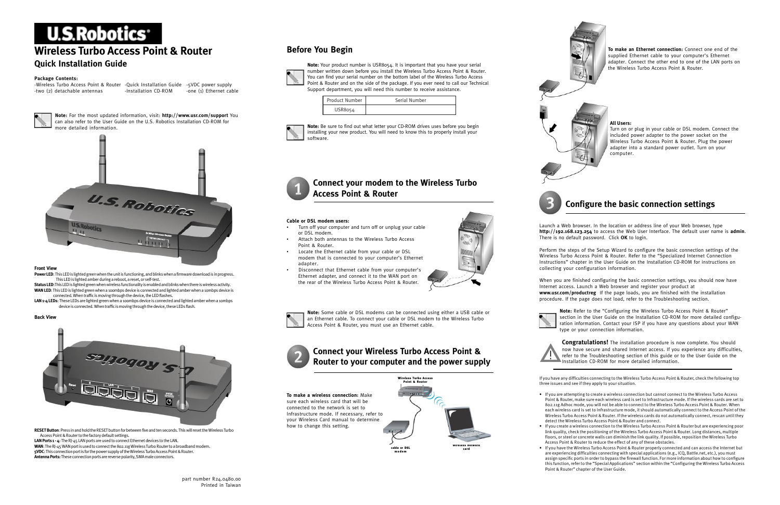## **Before You Begin**



**Note:** Your product number is USR8054. It is important that you have your serial number written down before you install the Wireless Turbo Access Point & Router. You can find your serial number on the bottom label of the Wireless Turbo Access Point & Router and on the side of the package. If you ever need to call our Technical Support department, you will need this number to receive assistance.

**Note:** Be sure to find out what letter your CD-ROM drives uses before you begin installing your new product. You will need to know this to properly install your software.

### **Connect your modem to the Wireless Turbo Access Point & Router**

#### **Cable or DSL modem users:**

- Turn off your computer and turn off or unplug your cable or DSL modem.
- Attach both antennas to the Wireless Turbo Access Point & Router.
- Locate the Ethernet cable from your cable or DSL modem that is connected to your computer's Ethernet adapter.
- Disconnect that Ethernet cable from your computer's Ethernet adapter, and connect it to the WAN port on the rear of the Wireless Turbo Access Point & Router.



**Note:** Some cable or DSL modems can be connected using either a USB cable or an Ethernet cable. To connect your cable or DSL modem to the Wireless Turbo Access Point & Router, you must use an Ethernet cable.



**Congratulations!** The installation procedure is now complete. You should now have secure and shared Internet access. If you experience any difficulties, refer to the Troubleshooting section of this guide or to the User Guide on the Installation CD-ROM for more detailed information.

**To make an Ethernet connection:** Connect one end of the supplied Ethernet cable to your computer's Ethernet adapter. Connect the other end to one of the LAN ports on the Wireless Turbo Access Point & Router.



#### **All Users:**

Turn on or plug in your cable or DSL modem. Connect the included power adapter to the power socket on the Wireless Turbo Access Point & Router. Plug the power adapter into a standard power outlet. Turn on your computer.

### **Configure the basic connection settings**

Launch a Web browser. In the location or address line of your Web browser, type **http://192.168.123.254** to access the Web User Interface. The default user name is **admin**. There is no default password. Click **OK** to login.

Perform the steps of the Setup Wizard to configure the basic connection settings of the Wireless Turbo Access Point & Router. Refer to the "Specialized Internet Connection Instructions" chapter in the User Guide on the Installation CD-ROM for instructions on collecting your configuration information.





-Wireless Turbo Access Point & Router -Quick Installation Guide -5VDC power supply -two (2) detachable antennas



When you are finished configuring the basic connection settings, you should now have Internet access. Launch a Web browser and register your product at **www.usr.com/productreg** If the page loads, you are finished with the installation procedure. If the page does not load, refer to the Troubleshooting section.

> **Note:** Refer to the "Configuring the Wireless Turbo Access Point & Router" section in the User Guide on the Installation CD-ROM for more detailed configuration information. Contact your ISP if you have any questions about your WAN type or your connection information.

If you have any difficulties connecting to the Wireless Turbo Access Point & Router, check the following top three issues and see if they apply to your situation.

- 
- 
- 

• If you are attempting to create a wireless connection but cannot connect to the Wireless Turbo Access Point & Router, make sure each wireless card is set to Infrastructure mode. If the wireless cards are set to 802.11g Adhoc mode, you will not be able to connect to the Wireless Turbo Access Point & Router. When each wireless card is set to Infrastructure mode, it should automatically connect to the Access Point of the Wireless Turbo Access Point & Router. If the wireless cards do not automatically connect, rescan until they detect the Wireless Turbo Access Point & Router and connect.



• If you create a wireless connection to the Wireless Turbo Access Point & Router but are experiencing poor link quality, check the positioning of the Wireless Turbo Access Point & Router. Long distances, multiple floors, or steel or concrete walls can diminish the link quality. If possible, reposition the Wireless Turbo Access Point & Router to reduce the effect of any of these obstacles.

• If you have the Wireless Turbo Access Point & Router properly connected and can access the Internet but are experiencing difficulties connecting with special applications (e.g., ICQ, Battle.net, etc.), you must assign specific ports in order to bypass the firewall function. For more information about how to configure this function, refer to the "Special Applications" section within the "Configuring the Wireless Turbo Access Point & Router" chapter of the User Guide.

# **U.S.Robotics**

## **Wireless Turbo Access Point & Router**

### **Quick Installation Guide**

#### **Package Contents:**

**Note:** For the most updated information, visit: **http://www.usr.com/support** You can also refer to the User Guide on the U.S. Robotics Installation CD-ROM for more detailed information.



#### **Front View**

- **Power LED**: This LED is lighted green when the unit is functioning, and blinks when a firmware download is in progress. This LED is lighted amber during a reboot, a reset, or self-test.
- **Status LED**:This LED is lighted green when wireless functionality is enabled and blinks when there is wireless activity. WAN LED: This LED is lighted green when a 100mbps device is connected and lighted amber when a 10mbps device is connected. When traffic is moving through the device, the LED flashes.
- LAN 1-4 LEDs: These LEDs are lighted green when a 100mbps device is connected and lighted amber when a 10mbps device is connected. When traffic is moving through the device, these LEDs flash.

#### **Back View**



**RESET Button**: Press in and hold the RESET button for between five and ten seconds. This will reset the Wireless Turbo Access Point & Router to the factory default settings.

**LAN Ports 1 - 4**: The RJ-45 LAN ports are used to connect Ethernet devices to the LAN. **WAN**: The RJ-45 WAN port is used to connect the 802.11g Wireless Turbo Router to a broadband modem. **5VDC**: This connection port is for the power supply of the Wireless Turbo Access Point & Router. **Antenna Ports:** These connection ports are reverse polarity, SMA male connectors.

wireless network









| Product Number | Serial Number |
|----------------|---------------|
| USR8054        |               |